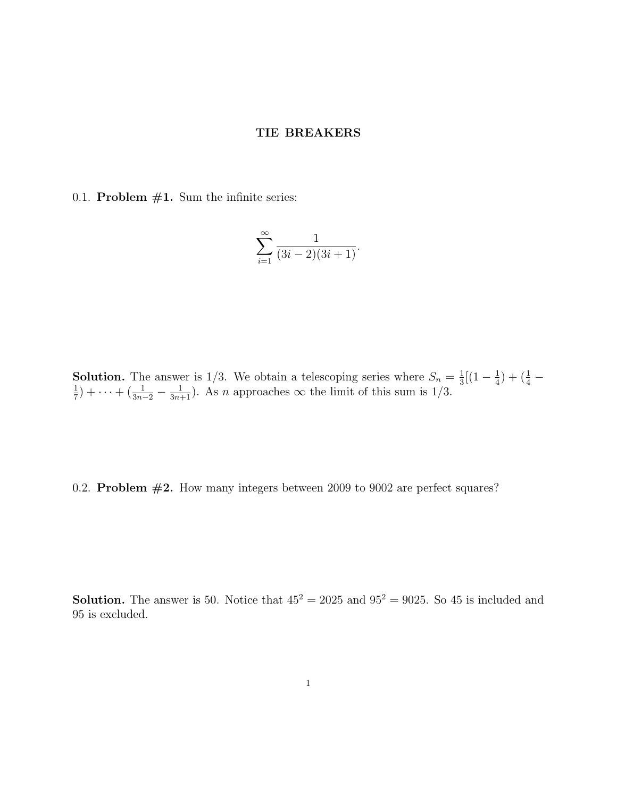## TIE BREAKERS

0.1. Problem  $#1$ . Sum the infinite series:

$$
\sum_{i=1}^{\infty} \frac{1}{(3i-2)(3i+1)}.
$$

**Solution.** The answer is 1/3. We obtain a telescoping series where  $S_n = \frac{1}{3}$  $\frac{1}{3}[(1-\frac{1}{4}% )^{2}+2\cdot \frac{1}{4}](1-\frac{1}{4})$ **Solution.** The answer is 1/3. We obtain a telescoping series where  $S_n = \frac{1}{3}[(1 - \frac{1}{4}) + (\frac{1}{4} - 1) + (\frac{1}{4} - 1) + (\frac{1}{4} - 1) + (\frac{1}{4} - 1) + (\frac{1}{4} - 1) + (\frac{1}{4} - 1) + (\frac{1}{4} - 1) + (\frac{1}{4} - 1) + (\frac{1}{4} - 1) + (\frac{1}{4} - 1) + (\frac{1}{4} - 1)$  $(\frac{1}{7}) + \cdots + (\frac{1}{3n-2} - \frac{1}{3n+1})$ . As *n* approaches  $\infty$  the limit of this sum is 1/3.

0.2. Problem  $#2$ . How many integers between 2009 to 9002 are perfect squares?

**Solution.** The answer is 50. Notice that  $45^2 = 2025$  and  $95^2 = 9025$ . So 45 is included and 95 is excluded.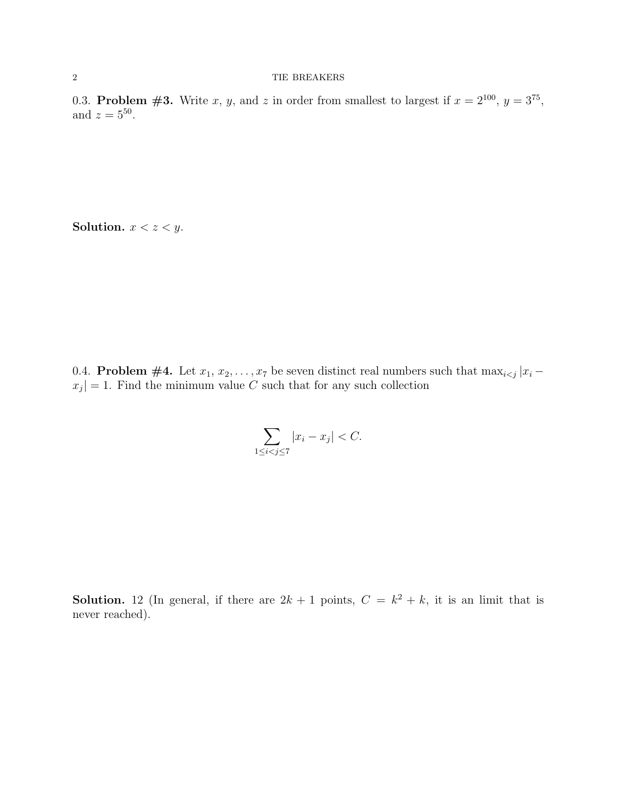0.3. Problem #3. Write x, y, and z in order from smallest to largest if  $x = 2^{100}$ ,  $y = 3^{75}$ , and  $z = 5^{50}$ .

Solution.  $x < z < y$ .

0.4. **Problem #4.** Let  $x_1, x_2, \ldots, x_7$  be seven distinct real numbers such that  $\max_{i \leq j} |x_i |x_j|=1$ . Find the minimum value C such that for any such collection

$$
\sum_{1 \le i < j \le 7} |x_i - x_j| < C.
$$

**Solution.** 12 (In general, if there are  $2k + 1$  points,  $C = k^2 + k$ , it is an limit that is never reached).